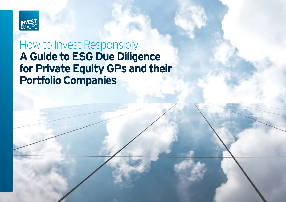

# How to Invest Responsibly **A Guide to ESG Due Diligence for Private Equity GPs and their Portfolio Companies**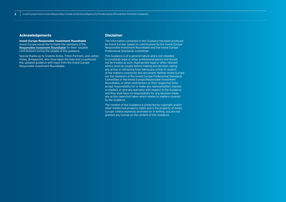### **Acknowledgements**

**Invest Europe Responsible Investment Roundtable**  Invest Europe would like to thank the members of the [Responsible Investment Roundtable](https://www.investeurope.eu/about-us/responsible-investment/responsible-investment-roundtable/) for their valuable contributions during the update of this guidance.

Special thanks go to Graeme Ardus, Triton Partners, and James Holley, Bridgepoint, who have taken the lead and co-authored this updated guidance with input from the Invest Europe Responsible Investment Roundtable.

### **Disclaimer**

The information contained in this Guidance has been produced by Invest Europe, based on contributions by the Invest Europe Responsible Investment Roundtable and the Invest Europe Professional Standards Committee.

This Guidance is of a general nature and is not intended to constitute legal or other professional advice and should not be treated as such. Appropriate legal or other relevant advice must be sought before making any decision, taking any action or refraining from taking any action in respect of the matters covered by this document. Neither Invest Europe nor the members of the Invest Europe Professional Standards Committee or the Invest Europe Responsible Investment Roundtable, or other contributors or their respective firms accept responsibility for or make any representation, express or implied, or give any warranty with respect to the Guidance, and they shall have no responsibility for any decision made, any action taken/not taken which relates to matters covered by the Guidance.

The content of this Guidance is protected by copyright and/or other intellectual property rights and is the property of Invest Europe. Unless expressly provided for in writing, you are not granted any license on the content of this Guidance.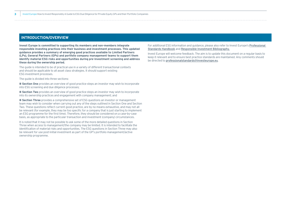### **INTRODUCTION/OVERVIEW**

**Invest Europe is committed to supporting its members and non-members integrate responsible investing practices into their business and investment processes. This updated guidance provides a summary of emerging good practices available to Limited Partners (LPs), General Partners (GPs) and portfolio company management teams to support them identify material ESG risks and opportunities during pre-investment screening and address these during the ownership period.**

The guide is intended to be of practical use in a variety of different transactional contexts and should be applicable to all asset class strategies. It should support existing ESG investment processes.

The quide is divided into three sections:

**# Section One** provides an overview of good practice steps an investor may wish to incorporate into ESG screening and due diligence processes;

**# Section Two** provides an overview of good practice steps an investor may wish to incorporate into its ownership practices and engagement with company management; and

**# Section Three** provides a comprehensive set of ESG questions an investor or management team may wish to consider when carrying out any of the steps outlined in Section One and Section Two. These questions reflect current good practice, are by no means exhaustive, and may not all be relevant (for example, they may be too specific for a company that is just starting to implement an ESG programme for the first time). Therefore, they should be considered on a case-by-case basis, as appropriate to the particular transaction and investment (company) circumstances.

It is noted that it may not be possible to ask some of the more detailed questions in Section Three when access to management/the company may be limited. It is intended to facilitate the identification of material risks and opportunities. The ESG questions in Section Three may also be relevant for use post-initial investment as part of the GP's portfolio management/active ownership programme.

For additional ESG information and guidance, please also refer to Invest Europe's [Professional](https://www.investeurope.eu/about-us/professional-standards/professional-standards-handbook/)  [Standards Handbook](https://www.investeurope.eu/about-us/professional-standards/professional-standards-handbook/) and [Responsible Investment Bibliography](https://www.investeurope.eu/about-us/responsible-investment/responsible-investment-bibliography/).

Invest Europe will welcome feedback. The aim is to update this document on a regular basis to keep it relevant and to ensure best practice standards are maintained. Any comments should be directed to [professionalstandards@investeurope.eu](mailto:professionalstandards%40investeurope.eu?subject=).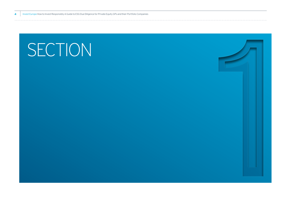# SECTION<br>11 Section<br>11 Section<br>11 Section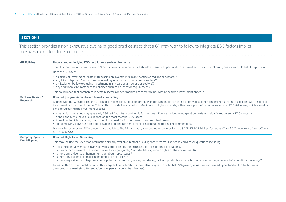### **SECTION 1**

## This section provides a non-exhaustive outline of good practice steps that a GP may wish to follow to integrate ESG factors into its pre-investment due diligence process.

| <b>GP Policies</b>      | Understand underlying ESG restrictions and requirements                                                                                                                                                                                                                                                                                                                                                                                                                                                                              |
|-------------------------|--------------------------------------------------------------------------------------------------------------------------------------------------------------------------------------------------------------------------------------------------------------------------------------------------------------------------------------------------------------------------------------------------------------------------------------------------------------------------------------------------------------------------------------|
|                         | The GP should initially identify any ESG restrictions or requirements it should adhere to as part of its investment activities. The following questions could help this process.                                                                                                                                                                                                                                                                                                                                                     |
|                         | Does the GP have:                                                                                                                                                                                                                                                                                                                                                                                                                                                                                                                    |
|                         | • a particular Investment Strategy (focussing on investments in any particular regions or sectors)?<br>• any LPA obligations/restrictions on investing in particular companies or sectors?<br>• an Exclusion Policy (excluding investment in any particular regions or sectors)?<br>• any additional circumstances to consider, such as co-investor requirements?                                                                                                                                                                    |
|                         | This could mean that companies in certain sectors or geographies are therefore not within the firm's investment appetite.                                                                                                                                                                                                                                                                                                                                                                                                            |
| <b>Sectoral Review/</b> | Conduct geographic/sectoral/thematic screening                                                                                                                                                                                                                                                                                                                                                                                                                                                                                       |
| <b>Research</b>         | Aligned with the GP's policies, the GP could consider conducting geographic/sectoral/thematic screening to provide a generic inherent risk rating associated with a specific<br>investment or investment theme. This is often provided in simple Low, Medium and High risk bands, with a description of potential associated ESG risk areas, which should be<br>considered during the investment process.                                                                                                                            |
|                         | • A very high risk rating may give early ESG red flags that could avoid further due diligence budget being spent on deals with significant potential ESG concerns,<br>or help the GP to focus due diligence on the most material ESG issues.<br>• A medium to high risk rating may prompt the need for further research as described below.<br>• For some GPs, a low risk rating could suggest limited further screening is conducted (but not recommended).                                                                         |
|                         | Many online sources for ESG screening are available. The PRI lists many sources; other sources include SASB, EBRD ESG Risk Categorisation List, Transparency International,<br>CDC ESG Toolkit.                                                                                                                                                                                                                                                                                                                                      |
| <b>Company Specific</b> | <b>Conduct High-Level Screening</b>                                                                                                                                                                                                                                                                                                                                                                                                                                                                                                  |
| <b>Due Diligence</b>    | This may include the review of information already available in other due diligence streams. The scope could cover questions including:                                                                                                                                                                                                                                                                                                                                                                                              |
|                         | • does the company engage in any activities prohibited by the firm's ESG policies or other obligations?<br>• is the company present in a higher risk sector or geography (consider labour, human rights or the environment)?<br>• is there any evidence of human rights or labour force issues?<br>• is there any evidence of major non-compliance concerns?<br>• is there any evidence of legal sanctions, potential corruption, money laundering, bribery, product/company boycotts or other negative media/reputational coverage? |
|                         | Focus is often on risk identification at this stage but consideration should also be given to potential ESG growth/value creation related opportunities for the business<br>(new products, markets, differentiation from peers by being best in class).                                                                                                                                                                                                                                                                              |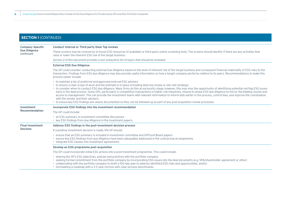| <b>Company Specific</b><br><b>Due Diligence</b><br>continued | <b>Conduct Internal or Third party Desk Top reviews</b>                                                                                                                                                                                                                                                                                                                                                                                                                                                                                                                                                                                                                                                                                                                                                                                                                                                         |  |  |
|--------------------------------------------------------------|-----------------------------------------------------------------------------------------------------------------------------------------------------------------------------------------------------------------------------------------------------------------------------------------------------------------------------------------------------------------------------------------------------------------------------------------------------------------------------------------------------------------------------------------------------------------------------------------------------------------------------------------------------------------------------------------------------------------------------------------------------------------------------------------------------------------------------------------------------------------------------------------------------------------|--|--|
|                                                              | These screens may be covered by in-house ESG resources (if available) or third party online screening tools. The screens should identify if there are any activities that<br>raise or lower the inherent ESG risk of the target business.                                                                                                                                                                                                                                                                                                                                                                                                                                                                                                                                                                                                                                                                       |  |  |
|                                                              | Section 2 of this document provides a non-exhaustive list of topics that should be reviewed.                                                                                                                                                                                                                                                                                                                                                                                                                                                                                                                                                                                                                                                                                                                                                                                                                    |  |  |
|                                                              | <b>External ESG Due Diligence</b>                                                                                                                                                                                                                                                                                                                                                                                                                                                                                                                                                                                                                                                                                                                                                                                                                                                                               |  |  |
|                                                              | The GP could consider conducting external Due Diligence based on the level of inherent risk of the target business and consequent financial materiality of ESG risks to the<br>transaction. Findings from ESG due diligence may also provide useful information on how a target company performs relative to its peers. Recommendations to make this<br>process easier include:                                                                                                                                                                                                                                                                                                                                                                                                                                                                                                                                 |  |  |
|                                                              | • to maintain a list of preferred and approved external ESG advisers<br>• to ensure a clear scope of work and fee estimate is in place (including desk top review or site visit strategy)<br>• to consider when to conduct ESG due diligence. Many firms do this at exclusivity stage; however, this may miss the opportunity of identifying potential red flag ESG issues<br>early in the deal process. Some GPs, particularly in competitive transactions in higher risk industries, choose to phase ESG due diligence to mirror the bidding rounds and<br>access to management. This can provide the investment teams with relevant information to inform bids earlier in the process, control fees, and improve the coordination<br>with the vendor and their advisers.<br>• to ensure key ESG findings are clearly documented so they can be followed up as part of any post-acquisition review processes. |  |  |
| Investment                                                   | Incorporate ESG findings into the investment recommendation                                                                                                                                                                                                                                                                                                                                                                                                                                                                                                                                                                                                                                                                                                                                                                                                                                                     |  |  |
| <b>Recommendation</b>                                        | The GP could include:                                                                                                                                                                                                                                                                                                                                                                                                                                                                                                                                                                                                                                                                                                                                                                                                                                                                                           |  |  |
|                                                              | • an ESG summary in investment committee discussions<br>• key ESG findings from due diligence in the investment papers.                                                                                                                                                                                                                                                                                                                                                                                                                                                                                                                                                                                                                                                                                                                                                                                         |  |  |
| <b>Final Investment</b>                                      | Address ESG findings in the post-investment decision process                                                                                                                                                                                                                                                                                                                                                                                                                                                                                                                                                                                                                                                                                                                                                                                                                                                    |  |  |
| <b>Decision</b>                                              | If a positive investment decision is made, the GP should:                                                                                                                                                                                                                                                                                                                                                                                                                                                                                                                                                                                                                                                                                                                                                                                                                                                       |  |  |
|                                                              | . ensure that an ESG summary is included in investment committee and GP/Fund Board papers<br>• ensure key ESG findings from due diligence have been adequately addressed in the contractual arrangements<br>• integrate ESG clauses into investment agreements.                                                                                                                                                                                                                                                                                                                                                                                                                                                                                                                                                                                                                                                 |  |  |
|                                                              | Develop an ESG programme post-acquisition                                                                                                                                                                                                                                                                                                                                                                                                                                                                                                                                                                                                                                                                                                                                                                                                                                                                       |  |  |
|                                                              | The GP could incorporate initial ESG actions into a post-investment programme. This could include:                                                                                                                                                                                                                                                                                                                                                                                                                                                                                                                                                                                                                                                                                                                                                                                                              |  |  |
|                                                              | • sharing the GP's ESG objectives, policies and practices with the portfolio company<br>• seeking formal commitment from the portfolio company by incorporating ESG issues into the deal documents (e.g. SPA/shareholder agreement or other)<br>• collaborating with the portfolio company to draft a 100-day plan to address identified ESG risks and opportunities, and/or<br>$\bullet$ formulating a roadman with a 3-5 year horizon with clear process henchmarks                                                                                                                                                                                                                                                                                                                                                                                                                                           |  |  |

• formulating a roadmap with a 3-5 year horizon with clear process benchmarks.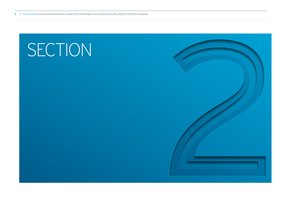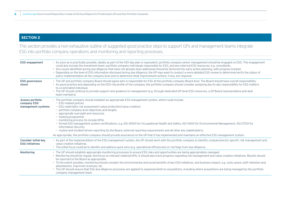### **SECTION 2**

This section provides a non-exhaustive outline of suggested good practice steps to support GPs and management teams integrate ESG into portfolio company operations and monitoring and reporting processes.

| <b>ESG engagement</b>                                 | • As soon as is practically possible, ideally as part of the 100-day plan or equivalent, portfolio company senior management should be engaged on ESG. This engagement<br>could also include the investment team, portfolio company individuals responsible for ESG, and any external ESG resources, e.g. consultants.<br>• Any issues identified during due diligence that have not already been addressed should be factored into early action planning, with progress tracked.<br>• Depending on the level of ESG information disclosed during due diligence, the GP may want to conduct a more detailed ESG review to determine/verify the status of<br>policy implementation at the company level and to determine what improvement actions, if any, are required.                    |
|-------------------------------------------------------|--------------------------------------------------------------------------------------------------------------------------------------------------------------------------------------------------------------------------------------------------------------------------------------------------------------------------------------------------------------------------------------------------------------------------------------------------------------------------------------------------------------------------------------------------------------------------------------------------------------------------------------------------------------------------------------------------------------------------------------------------------------------------------------------|
| <b>ESG governance</b><br>check                        | • The GP and portfolio company Board should agree who is responsible for ESG at the portfolio company Board level. The Board should have overall responsibility.<br>• As good practice and depending on the ESG risk profile of the company, the portfolio company should consider assigning day-to-day responsibility for ESG matters<br>to a nominated individual.<br>• The GP should continue to provide support and guidance to management (e.g. through dedicated GP-level ESG resources, a GP Board representative and deal<br>team members).                                                                                                                                                                                                                                        |
| Assess portfolio<br>company ESG<br>management systems | • The portfolio company should establish an appropriate ESG management system, which could include:<br>$-$ ESG-related policies<br>- ESG materiality risk assessment (value protection/value creation)<br>- portfolio company level objectives and targets<br>- appropriate oversight and resources<br>- training programme<br>- monitoring process (to include KPIs)<br>- formal ESG management system certifications, e.g. ISO 45001 for Occupational Health and Safety, ISO 14001 for Environmental Management, ISO 27001 for<br><b>Information Security</b><br>- routine and incident-driven reporting (to the Board, external reporting requirements and all other key stakeholders).                                                                                                 |
|                                                       | As appropriate, the portfolio company should provide assurances to the GP that it has implemented and maintains an effective ESG management system.                                                                                                                                                                                                                                                                                                                                                                                                                                                                                                                                                                                                                                        |
| <b>Consider initial key</b><br><b>ESG initiatives</b> | • As part of the implementation of the ESG management system, the GP should work with the portfolio company to identify company/sector specific risk management and<br>value creation initiatives.<br>• The initial focus could be to identify and address quick wins (e.g. operational efficiencies) or red flags from due diligence.                                                                                                                                                                                                                                                                                                                                                                                                                                                     |
| <b>Monitoring</b>                                     | • The GP should establish appropriate monitoring processes to ensure ESG risks and opportunities are being appropriately managed.<br>• Monitoring should be regular and focus on relevant material KPIs. It should also track progress regarding risk management and value creation initiatives. Results should<br>be reported to the Board as appropriate.<br>• To the extent possible, monitoring should consider the environmental and social benefits of key ESG initiatives, and business impact, e.g. costs saved, staff retention and<br>absenteeism, improved revenues, etc.<br>• The GP should ensure that ESG due diligence processes are applied to expansion/bolt-on acquisitions, including where acquisitions are being managed by the portfolio<br>company management team. |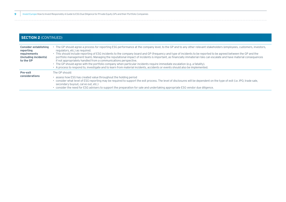| <b>Consider establishing</b><br>reporting<br>requirements<br>(including incidents)<br>to the GP | • The GP should agree a process for reporting ESG performance at the company level, to the GP and to any other relevant stakeholders (employees, customers, investors,<br>regulators, etc.) as reguired.<br>• This should include reporting of ESG incidents to the company board and GP (frequency and type of incidents to be reported to be agreed between the GP and the<br>portfolio management team). Managing the reputational impact of incidents is important, as financially immaterial risks can escalate and have material consequences<br>if not appropriately handled from a communications perspective.<br>• The GP should agree with the portfolio company when particular incidents require immediate escalation (e.g. a fatality).<br>• A process to respond to, investigate and to learn from material incidents, accidents or events should also be implemented. |
|-------------------------------------------------------------------------------------------------|--------------------------------------------------------------------------------------------------------------------------------------------------------------------------------------------------------------------------------------------------------------------------------------------------------------------------------------------------------------------------------------------------------------------------------------------------------------------------------------------------------------------------------------------------------------------------------------------------------------------------------------------------------------------------------------------------------------------------------------------------------------------------------------------------------------------------------------------------------------------------------------|
| <b>Pre-exit</b><br><b>considerations</b>                                                        | The GP should:<br>• assess how ESG has created value throughout the holding period<br>• consider what level of ESG reporting may be required to support the exit process. The level of disclosures will be dependent on the type of exit (i.e. IPO, trade sale,<br>secondary buyout, carve out, etc.)<br>• consider the need for ESG advisers to support the preparation for sale and undertaking appropriate ESG vendor due diligence.                                                                                                                                                                                                                                                                                                                                                                                                                                              |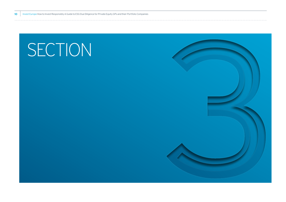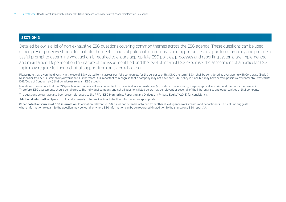### **SECTION 3**

Detailed below is a list of non-exhaustive ESG questions covering common themes across the ESG agenda. These questions can be used either pre- or post-investment to facilitate the identification of potential material risks and opportunities at a portfolio company and provide a useful prompt to determine what action is required to ensure appropriate ESG policies, processes and reporting systems are implemented and maintained. Dependent on the nature of the issue identified and the level of internal ESG expertise, the assessment of a particular ESG topic may require further technical support from an external adviser.

Please note that, given the diversity in the use of ESG-related terms across portfolio companies, for the purposes of this DDQ the term "ESG" shall be considered as overlapping with Corporate (Social) Responsibility (CSR)/sustainability/governance. Furthermore, it is important to recognise that a company may not have an "ESG" policy in place but may have certain policies (environmental/waste/HR/ EHS/Code of Conduct, etc.) that do address relevant ESG aspects.

In addition, please note that the ESG profile of a company will vary dependent on its individual circumstances (e.g. nature of operations), its geographical footprint and the sector it operates in. Therefore, ESG assessments should be tailored to the individual company and not all questions listed below may be relevant or cover all of the inherent risks and opportunities of that company.

The questions below have also been cross-referenced to the PRI's "[ESG Monitoring, Reporting and Dialogue in Private Equity](https://www.unpri.org/private-equity/esg-monitoring-reporting-and-dialogue-in-private-equity/3295.article)" (2018) for consistency.

**Additional information:** Space to upload documents or to provide links to further information as appropriate.

**Other potential sources of ESG information:** Information relevant to ESG issues can often be obtained from other due diligence workstreams and departments. This column suggests where information relevant to the question may be found, or where ESG information can be corroborated (in addition to the standalone ESG report(s)).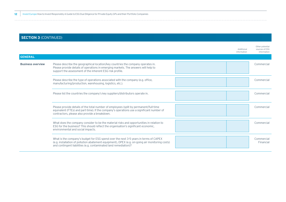|                          |                                                                                                                                                                                                                                                             | Additional<br>information | Other potential<br>sources of ESG<br>information |
|--------------------------|-------------------------------------------------------------------------------------------------------------------------------------------------------------------------------------------------------------------------------------------------------------|---------------------------|--------------------------------------------------|
| <b>GENERAL</b>           |                                                                                                                                                                                                                                                             |                           |                                                  |
| <b>Business overview</b> | Please describe the geographical location/key countries the company operates in.<br>Please provide details of operations in emerging markets. The answers will help to<br>support the assessment of the inherent ESG risk profile.                          |                           | Commercial                                       |
|                          | Please describe the type of operations associated with the company (e.g. office,<br>manufacturing/production, warehousing, logistics, etc.).                                                                                                                |                           | Commercial                                       |
|                          | Please list the countries the company's key suppliers/distributors operate in.                                                                                                                                                                              |                           | Commercial                                       |
|                          | Please provide details of the total number of employees (split by permanent/full-time<br>equivalent (FTEs) and part-time). If the company's operations use a significant number of<br>contractors, please also provide a breakdown.                         |                           | Commercial                                       |
|                          | What does the company consider to be the material risks and opportunities in relation to<br>ESG for the business? This should reflect the organisation's significant economic,<br>environmental and social impacts.                                         |                           | Commercial                                       |
|                          | What is the company's budget for ESG spend over the next 3-5 years in terms of CAPEX<br>(e.g. installation of pollution abatement equipment), OPEX (e.g. on-going air monitoring costs)<br>and contingent liabilities (e.g. contaminated land remediation)? |                           | Commercial<br>Financial                          |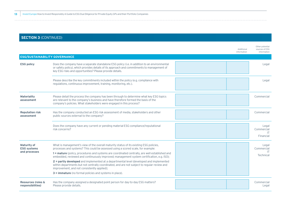|                                                    |                                                                                                                                                                                                                                                        | Additional<br>information | Other potential<br>sources of ESG<br>information |
|----------------------------------------------------|--------------------------------------------------------------------------------------------------------------------------------------------------------------------------------------------------------------------------------------------------------|---------------------------|--------------------------------------------------|
| <b>ESG/SUSTAINABILITY GOVERNANCE</b>               |                                                                                                                                                                                                                                                        |                           |                                                  |
| <b>ESG policy</b>                                  | Does the company have a separate standalone ESG policy (i.e. in addition to an environmental<br>or safety policy), which provides details of its approach and commitments to management of<br>key ESG risks and opportunities? Please provide details. |                           | Legal                                            |
|                                                    | Please describe the key commitments included within the policy (e.g. compliance with<br>regulations, continuous improvement, training, monitoring, etc.).                                                                                              |                           | Legal                                            |
| <b>Materiality</b><br>assessment                   | Please detail the process the company has been through to determine what key ESG topics<br>are relevant to the company's business and have therefore formed the basis of the<br>company's policies. What stakeholders were engaged in this process?    |                           | Commercial                                       |
| <b>Reputation risk</b><br>assessment               | Has the company conducted an ESG risk assessment of media, stakeholders and other<br>public sources external to the company?                                                                                                                           |                           | Commercial                                       |
|                                                    | Does the company have any current or pending material ESG compliance/reputational<br>risk concerns?                                                                                                                                                    |                           | Legal<br>Commercial<br><b>IT</b><br>Financial    |
| <b>Maturity of</b><br><b>ESG systems</b>           | What is management's view of the overall maturity status of its existing ESG policies,<br>processes and systems? This could be assessed using a scored scale, for example:                                                                             |                           | Legal<br>Commercial<br><b>IT</b>                 |
| and processes                                      | 1 = mature (policy, procedures and systems are coordinated centrally, are well established and<br>embedded, reviewed and continuously improved; management system certification, e.g. ISO);                                                            |                           | Technical                                        |
|                                                    | 2 = partly developed and implemented at a departmental level (developed and implemented<br>within departments but not centrally coordinated, and are not subject to regular review and<br>improvement, and not consistently applied);                  |                           |                                                  |
|                                                    | 3 = immature (no formal policies and systems in place).                                                                                                                                                                                                |                           |                                                  |
| <b>Resources (roles &amp;</b><br>responsibilities) | Has the company assigned a designated point person for day-to-day ESG matters?<br>Please provide details.                                                                                                                                              |                           | Commercial<br>Legal                              |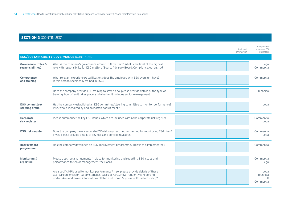|                                                     |                                                                                                                                                                                                                                                                        | Additional<br>information | Other potential<br>sources of ESG<br>information |
|-----------------------------------------------------|------------------------------------------------------------------------------------------------------------------------------------------------------------------------------------------------------------------------------------------------------------------------|---------------------------|--------------------------------------------------|
|                                                     | <b>ESG/SUSTAINABILITY GOVERNANCE (CONTINUED)</b>                                                                                                                                                                                                                       |                           |                                                  |
| <b>Governance (roles &amp;</b><br>responsibilities) | What is the company's governance around ESG matters? What is the level of the highest<br>role with responsibility for ESG matters (Board, Advisory Board, Compliance, others, )?                                                                                       |                           | Legal<br>Commercial                              |
| Competence<br>and training                          | What relevant experience/qualifications does the employee with ESG oversight have?<br>Is this person specifically trained in ESG?                                                                                                                                      |                           | Commercial                                       |
|                                                     | Does the company provide ESG training to staff? If so, please provide details of the type of<br>training, how often it takes place, and whether it includes senior management.                                                                                         |                           | Technical                                        |
| <b>ESG committee/</b><br>steering group             | Has the company established an ESG committee/steering committee to monitor performance?<br>If so, who is it chaired by and how often does it meet?                                                                                                                     |                           | Legal                                            |
| Corporate<br>risk register                          | Please summarise the key ESG issues, which are included within the corporate risk register.                                                                                                                                                                            |                           | Commercial<br>Legal                              |
| <b>ESG risk register</b>                            | Does the company have a separate ESG risk register or other method for monitoring ESG risks?<br>If yes, please provide details of key risks and control measures.                                                                                                      |                           | Commercial<br>Legal                              |
| Improvement<br>programme                            | Has the company developed an ESG improvement programme? How is this implemented?                                                                                                                                                                                       |                           | Commercial                                       |
| <b>Monitoring &amp;</b><br>reporting                | Please describe arrangements in place for monitoring and reporting ESG issues and<br>performance to senior management/the Board.                                                                                                                                       |                           | Commercial<br>Legal                              |
|                                                     | Are specific KPIs used to monitor performance? If so, please provide details of these<br>(e.g. carbon emission, safety statistics, cases of ABC). How frequently is reporting<br>undertaken and how is information collated and stored (e.g. use of IT systems, etc.)? |                           | Legal<br>Technical<br>-IT<br>Commercial          |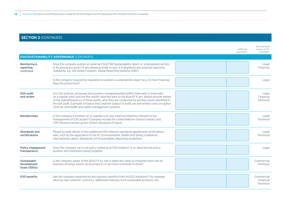|                                                                 |                                                                                                                                                                                                                                                                                                                                                                                                                                                             | Additional<br>information | Other potential<br>sources of ESG<br>information |
|-----------------------------------------------------------------|-------------------------------------------------------------------------------------------------------------------------------------------------------------------------------------------------------------------------------------------------------------------------------------------------------------------------------------------------------------------------------------------------------------------------------------------------------------|---------------------------|--------------------------------------------------|
|                                                                 | <b>ESG/SUSTAINABILITY GOVERNANCE (CONTINUED)</b>                                                                                                                                                                                                                                                                                                                                                                                                            |                           |                                                  |
| <b>Monitoring &amp;</b><br>reporting<br>continued               | Does the company publish an external ESG/CSR/Sustainability report or a designated section<br>in its annual accounts? If yes, please provide a copy. Is it aligned to any external reporting<br>standards, e.g. UN Global Compact, Global Reporting Initiative (GRI)?                                                                                                                                                                                       |                           | Legal<br>Financial                               |
|                                                                 | Is the company required by regulation to publish a sustainability report (e.g. EU Non-Financial<br>Reporting Directive)?                                                                                                                                                                                                                                                                                                                                    |                           | Legal                                            |
| <b>ESG audit</b><br>and review                                  | Are ESG policies, processes and systems reviewed/audited either internally or externally<br>on a regular basis and are the results reported back to the Board? If yes, please provide details<br>of the types/frequency of these audits, who they are conducted by and key issues identified in<br>the last audit. Examples of topics that could be subject to audit are anti-bribery and corruption<br>controls, and health and safety management systems. |                           | Legal<br>Financial<br>Technical                  |
| <b>Memberships</b>                                              | Is the company a member of, or signatory to, any external initiatives relevant to the<br>management of ESG issues? Examples include the United Nations Global Compact and<br>CDP (formerly known as the Carbon Disclosure Project).                                                                                                                                                                                                                         |                           | Legal<br>Technical                               |
| <b>Standards and</b><br>certifications                          | Please provide details of any additional ESG relevant standards applied and certifications<br>held, such as the application of the IFC Environmental, Health and Safety Guidelines;<br>International Labour Standards; G4 Sustainability Reporting Guidelines.                                                                                                                                                                                              |                           | Legal<br>Technical                               |
| <b>Policy engagement</b><br>transparency                        | Does the company carry out policy lobbying on ESG matters? If so, describe the policy<br>position and institutions being targeted.                                                                                                                                                                                                                                                                                                                          |                           | Legal                                            |
| <b>Sustainable</b><br><b>Development</b><br><b>Goals (SDGs)</b> | Is the company aware of the SDGs? If so, has it taken any steps to integrate them into its<br>business strategy and/or do its products or services contribute to them?                                                                                                                                                                                                                                                                                      |                           | Commercial<br>Technical                          |
| <b>ESG benefits</b>                                             | Has the company experienced any business benefits from its ESG initiatives? For example,<br>winning new customer contracts, additional revenues from sustainable products, etc.                                                                                                                                                                                                                                                                             |                           | Commercial<br>Financial<br>Technical             |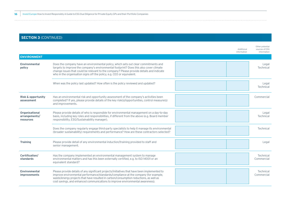|                                                     |                                                                                                                                                                                                                                                                                                                                                                | Additional<br>information | Other potential<br>sources of ESG<br>information |
|-----------------------------------------------------|----------------------------------------------------------------------------------------------------------------------------------------------------------------------------------------------------------------------------------------------------------------------------------------------------------------------------------------------------------------|---------------------------|--------------------------------------------------|
| <b>ENVIRONMENT</b>                                  |                                                                                                                                                                                                                                                                                                                                                                |                           |                                                  |
| Environmental<br>policy                             | Does the company have an environmental policy, which sets out clear commitments and<br>targets to improve the company's environmental footprint? Does this also cover climate<br>change issues that could be relevant to the company? Please provide details and indicate<br>who in the organisation signs off the policy, e.g. CEO or equivalent.             |                           | Legal<br>Technical                               |
|                                                     | When was the policy last updated? How often is the policy reviewed and updated?                                                                                                                                                                                                                                                                                |                           | Legal<br>Technical                               |
| <b>Risk &amp; opportunity</b><br>assessment         | Has an environmental risk and opportunity assessment of the company's activities been<br>completed? If yes, please provide details of the key risk(s)/opportunities, control measure(s)<br>and improvements.                                                                                                                                                   |                           | Commercial                                       |
| Organisational<br>arrangements/<br><b>resources</b> | Please provide details of who is responsible for environmental management on a day-to-day<br>basis, including key roles and responsibilities, if different from the above (e.g. Board member<br>responsibility, ESG/Sustainability manager).                                                                                                                   |                           | Legal<br>Technical                               |
|                                                     | Does the company regularly engage third-party specialists to help it manage its environmental<br>(broader sustainability) requirements and performance? How are these contractors selected?                                                                                                                                                                    |                           | Technical                                        |
| <b>Training</b>                                     | Please provide detail of any environmental induction/training provided to staff and<br>senior management.                                                                                                                                                                                                                                                      |                           | Legal                                            |
| Certification/<br>standards                         | Has the company implemented an environmental management system to manage<br>environmental matters and has this been externally certified, e.g. to ISO 14001 or an<br>equivalent standard?                                                                                                                                                                      |                           | Technical<br>Commercial                          |
| Environmental<br>improvements                       | Please provide details of any significant projects/initiatives that have been implemented to<br>improve environmental performance/standards/compliance at the company (for example,<br>waste/energy projects that have resulted in carbon/consumption reductions, as well as<br>cost savings, and enhanced communications to improve environmental awareness). |                           | Technical<br>Commercial                          |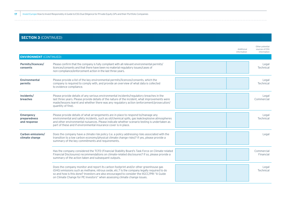|                                                  |                                                                                                                                                                                                                                                                                                                                                               | Additional<br>information | Other potential<br>sources of ESG<br>information |
|--------------------------------------------------|---------------------------------------------------------------------------------------------------------------------------------------------------------------------------------------------------------------------------------------------------------------------------------------------------------------------------------------------------------------|---------------------------|--------------------------------------------------|
| <b>ENVIRONMENT</b> (CONTINUED)                   |                                                                                                                                                                                                                                                                                                                                                               |                           |                                                  |
| Permits/licences/<br>consents                    | Please confirm that the company is fully compliant with all relevant environmental permits/<br>licences/consents and that there have been no material regulatory issues/cases of<br>non-compliance/enforcement action in the last three years.                                                                                                                |                           | Legal<br>Technical                               |
| <b>Environmental</b><br>permits                  | Please provide a list of the key environmental permits/licences/consents, which the<br>company is required to comply with, and provide an overview of what data is collected<br>to evidence compliance.                                                                                                                                                       |                           | Legal<br>Technical                               |
| Incidents/<br>breaches                           | Please provide details of any serious environmental incidents/regulatory breaches in the<br>last three years. Please provide details of the nature of the incident, what improvements were<br>made/lessons learnt and whether there was any regulatory action (enforcement/prosecution/<br>quantity of fine).                                                 |                           | Legal<br>Commercial                              |
| <b>Emergency</b><br>preparedness<br>and response | Please provide details of what arrangements are in place to respond to/manage any<br>environmental and safety incidents, such as oil/chemical spills, gas leak/explosive atmospheres<br>and other environmental nuisances. Please indicate whether scenario testing is undertaken as<br>part of these and if environmental insurance cover is in place.       |                           | Legal<br>Technical                               |
| Carbon emissions/<br>climate change              | Does the company have a climate risk policy (i.e. a policy addressing risks associated with the<br>transition to a low carbon economy/physical climate change risks)? If yes, please provide a<br>summary of the key commitments and requirements.                                                                                                            |                           | Legal                                            |
|                                                  | Has the company considered the TCFD (Financial Stability Board's Task Force on Climate-related<br>Financial Disclosures) recommendations on climate-related disclosures? If so, please provide a<br>summary of the action taken and subsequent outputs.                                                                                                       |                           | Commercial<br>Financial                          |
|                                                  | Does the company monitor and report its carbon footprint and/or other greenhouse gas<br>(GHG) emissions such as methane, nitrous oxide, etc.? Is the company legally required to do<br>so and how is this done? Investors are also encouraged to consider the IIGCC/PRI "A Guide<br>on Climate Change for PE Investors" when assessing climate change issues. |                           | Legal<br>Technical                               |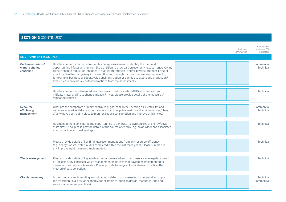|                                                  |                                                                                                                                                                                                                                                                                                                                                                                                                                                                                                                                                    | Other potential<br>Additional<br>sources of ESG<br>information<br>information |
|--------------------------------------------------|----------------------------------------------------------------------------------------------------------------------------------------------------------------------------------------------------------------------------------------------------------------------------------------------------------------------------------------------------------------------------------------------------------------------------------------------------------------------------------------------------------------------------------------------------|-------------------------------------------------------------------------------|
| <b>ENVIRONMENT</b> (CONTINUED)                   |                                                                                                                                                                                                                                                                                                                                                                                                                                                                                                                                                    |                                                                               |
| Carbon emissions/<br>climate change<br>continued | Has the company conducted a climate change assessment to identify the risks and<br>opportunities it faces arising from the transition to a low carbon economy (e.g. current/evolving<br>climate change regulation, changes in market preferences) and/or physical changes brought<br>about by climate change (e.g. increased flooding, drought or other severe weather events),<br>for example, business or supply/value chain disruption or damage to assets and production?<br>If yes, please provide key outcomes/actions from the assessments. | Commercial<br>Technical                                                       |
|                                                  | Has the company implemented any measures to reduce carbon/GHG emissions and/or<br>mitigate material climate change impacts? If yes, please provide details of the measures/<br>mitigating controls.                                                                                                                                                                                                                                                                                                                                                | Technical                                                                     |
| <b>Resource</b><br>efficiency/<br>management     | What are the company's primary energy (e.g. gas, coal, diesel, heating oil, electricity) and<br>water sources (river/lake or groundwater extraction, public mains) and what initiatives/plans<br>(if any) have been put in place to monitor, reduce consumption and improve efficiencies?                                                                                                                                                                                                                                                          | Commercial<br>Technical                                                       |
|                                                  | Has management considered the opportunities to generate its own sources of energy/power<br>at its sites? If so, please provide details of the source of energy (e.g. solar, wind) and associated<br>energy, carbon and cost savings.                                                                                                                                                                                                                                                                                                               | Technical                                                                     |
|                                                  | Please provide details of key findings/recommendations from any resource efficiency<br>(e.g. energy, waste, water) audits completed within the last three years. Please summarise<br>any improvement measures implemented.                                                                                                                                                                                                                                                                                                                         | Technical                                                                     |
| <b>Waste management</b>                          | Please provide details of key waste streams generated and how these are managed/disposed<br>of, including any particular waste management initiatives that have been implemented to<br>minimise or reuse/recycle wastes. Please provide tonnages (if available) and confirm the<br>method of data collection.                                                                                                                                                                                                                                      | Technical                                                                     |
| <b>Circular economy</b>                          | Is the company implementing any initiatives related to, or assessing its potential to support<br>the transition to, a circular economy, for example through its design, manufacturing and<br>waste management practices?                                                                                                                                                                                                                                                                                                                           | Technical<br>Commercial                                                       |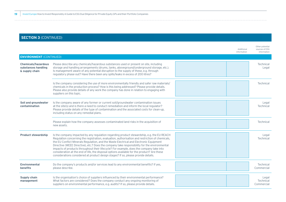|                                                                     |                                                                                                                                                                                                                                                                                                                                                                                                                                                                                                                                                                                                                                                                         | Additional<br>information | Other potential<br>sources of ESG<br>information |
|---------------------------------------------------------------------|-------------------------------------------------------------------------------------------------------------------------------------------------------------------------------------------------------------------------------------------------------------------------------------------------------------------------------------------------------------------------------------------------------------------------------------------------------------------------------------------------------------------------------------------------------------------------------------------------------------------------------------------------------------------------|---------------------------|--------------------------------------------------|
| <b>ENVIRONMENT</b> (CONTINUED)                                      |                                                                                                                                                                                                                                                                                                                                                                                                                                                                                                                                                                                                                                                                         |                           |                                                  |
| <b>Chemicals/hazardous</b><br>substances handling<br>& supply chain | Please describe any chemicals/hazardous substances used or present on site, including<br>storage and handling arrangements (drums, tanks, aboveground/underground storage, etc.).<br>Is management aware of any potential disruption to the supply of these, e.g. through<br>regulatory phase-out? Have there been any spills/leaks in excess of 200 litres?                                                                                                                                                                                                                                                                                                            |                           | Technical<br>Legal                               |
|                                                                     | Is the company considering the use of more environmentally friendly and safer raw materials/<br>chemicals in the production process? How is this being addressed? Please provide details.<br>Please also provide details of any work the company has done in relation to engaging with<br>suppliers on this topic.                                                                                                                                                                                                                                                                                                                                                      |                           | Technical                                        |
| Soil and groundwater<br>contamination                               | Is the company aware of any former or current soil/groundwater contamination issues<br>at the site(s) and is there a need to conduct remediation and inform the local regulator?<br>Please provide details of the type of contamination and the associated costs for clean-up,<br>including status on any remedial plans.                                                                                                                                                                                                                                                                                                                                               |                           | Legal<br>Technical                               |
|                                                                     | Please explain how the company assesses contaminated land risks in the acquisition of<br>new assets.                                                                                                                                                                                                                                                                                                                                                                                                                                                                                                                                                                    |                           | Technical                                        |
| <b>Product stewardship</b>                                          | Is the company impacted by any regulation regarding product stewardship, e.g. the EU REACH<br>Regulation concerning the registration, evaluation, authorisation and restriction of chemicals,<br>the EU Conflict Minerals Regulation, and the Waste Electrical and Electronic Equipment<br>Directive (WEEE Directive), etc.? Does the company take responsibility for the environmental<br>impacts of products throughout their lifecycle? For example, does the company take into<br>consideration at the end of life, the disposal options available for the product? Are these<br>considerations considered at product design stages? If so, please provide details. |                           | Legal<br>Technical                               |
| <b>Environmental</b><br><b>benefits</b>                             | Do the company's products and/or services lead to any environmental benefits? If yes,<br>please describe.                                                                                                                                                                                                                                                                                                                                                                                                                                                                                                                                                               |                           | Technical<br>Commercial                          |
| <b>Supply chain</b><br>management                                   | Is the organisation's choice of suppliers influenced by their environmental performance?<br>What factors are considered? Does the company conduct any ongoing monitoring of<br>suppliers on environmental performance, e.g. audits? If so, please provide details.                                                                                                                                                                                                                                                                                                                                                                                                      |                           | Legal<br>Technical<br>Commercial                 |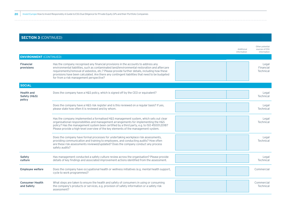|                                             |                                                                                                                                                                                                                                                                                                                                                                                                                                | Additional<br>information | Other potential<br>sources of ESG<br>information |
|---------------------------------------------|--------------------------------------------------------------------------------------------------------------------------------------------------------------------------------------------------------------------------------------------------------------------------------------------------------------------------------------------------------------------------------------------------------------------------------|---------------------------|--------------------------------------------------|
| <b>ENVIRONMENT</b> (CONTINUED)              |                                                                                                                                                                                                                                                                                                                                                                                                                                |                           |                                                  |
| <b>Financial</b><br>provisions              | Has the company recognised any financial provisions in the accounts to address any<br>environmental liabilities, such as contaminated land/environmental restoration and aftercare<br>requirements/removal of asbestos, etc.? Please provide further details, including how these<br>provisions have been calculated. Are there any contingent liabilities that need to be budgeted<br>for from a risk management perspective? |                           | Legal<br>Financial<br>Technical                  |
| <b>SOCIAL</b>                               |                                                                                                                                                                                                                                                                                                                                                                                                                                |                           |                                                  |
| <b>Health and</b><br>Safety (H&S)<br>policy | Does the company have a H&S policy, which is signed off by the CEO or equivalent?                                                                                                                                                                                                                                                                                                                                              |                           | Legal<br>Technical                               |
|                                             | Does the company have a H&S risk register and is this reviewed on a regular basis? If yes,<br>please state how often it is reviewed and by whom.                                                                                                                                                                                                                                                                               |                           | Legal<br>Technical                               |
|                                             | Has the company implemented a formalised H&S management system, which sets out clear<br>organisational responsibilities and management arrangements for implementing the H&S<br>policy? Has the management system been certified by a third party, e.g. to ISO 45001:2018?<br>Please provide a high-level overview of the key elements of the management system.                                                               |                           | Legal<br>Technical                               |
|                                             | Does the company have formal processes for undertaking workplace risk assessments,<br>providing communication and training to employees, and conducting audits? How often<br>are these risk assessments reviewed/updated? Does the company conduct any process<br>safety audits?                                                                                                                                               |                           | Legal<br>Technical                               |
| <b>Safety</b><br>culture                    | Has management conducted a safety culture review across the organisation? Please provide<br>details of key findings and associated improvement actions identified from the assessment.                                                                                                                                                                                                                                         |                           | Legal<br>Technical                               |
| <b>Employee welfare</b>                     | Does the company have occupational health or wellness initiatives (e.g. mental health support,<br>cycle to work programmes)?                                                                                                                                                                                                                                                                                                   |                           | Commercial                                       |
| <b>Consumer Health</b><br>and Safety        | What steps are taken to ensure the health and safety of consumers in using or consuming<br>the company's products or services, e.g. provision of safety information or a safety risk<br>assessment?                                                                                                                                                                                                                            |                           | Commercial<br>Technical                          |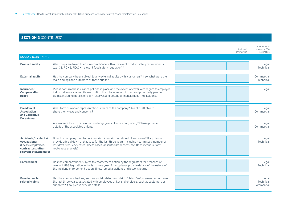|                                                                                                             |                                                                                                                                                                                                                                                                                                            | Additional<br>information | Other potential<br>sources of ESG<br>information |
|-------------------------------------------------------------------------------------------------------------|------------------------------------------------------------------------------------------------------------------------------------------------------------------------------------------------------------------------------------------------------------------------------------------------------------|---------------------------|--------------------------------------------------|
| <b>SOCIAL (CONTINUED)</b>                                                                                   |                                                                                                                                                                                                                                                                                                            |                           |                                                  |
| <b>Product safety</b>                                                                                       | What steps are taken to ensure compliance with all relevant product safety requirements<br>(e.g. CE, ROHS, REACH, relevant food safety regulation)?                                                                                                                                                        |                           | Legal<br><b>Technical</b>                        |
| <b>External audits</b>                                                                                      | Has the company been subject to any external audits by its customers? If so, what were the<br>main findings and outcomes of these audits?                                                                                                                                                                  |                           | Commercial<br>Technical                          |
| Insurance/<br>Compensation<br>policy                                                                        | Please confirm the insurance policies in place and the extent of cover with regard to employee<br>industrial injury claims. Please confirm the total number of open and potentially pending<br>claims, including details of claim reserves and potential financial/legal implications.                     |                           | Legal                                            |
| <b>Freedom of</b><br><b>Association</b><br>and Collective<br><b>Bargaining</b>                              | What form of worker representation is there at the company? Are all staff able to<br>share their views and concerns?                                                                                                                                                                                       |                           | Legal<br>Commercial                              |
|                                                                                                             | Are workers free to join a union and engage in collective bargaining? Please provide<br>details of the associated unions.                                                                                                                                                                                  |                           | Legal<br>Commercial                              |
| Accidents/incidents/<br>occupational<br>illness (employees,<br>contractors, other<br>relevant stakeholders) | Does the company monitor incidents/accidents/occupational illness cases? If so, please<br>provide a breakdown of statistics for the last three years, including near misses, number of<br>lost days, frequency rates, illness cases, absenteeism records, etc. Does it conduct any<br>root-cause analysis? |                           | Legal<br>Technical                               |
| <b>Enforcement</b>                                                                                          | Has the company been subject to enforcement action by the regulators for breaches of<br>relevant H&S legislation in the last three years? If so, please provide details of the nature of<br>the incident, enforcement action, fines, remedial actions and lessons learnt.                                  |                           | Legal<br>Technical                               |
| <b>Broader social</b><br>related claims                                                                     | Has the company had any serious social related complaints/claims/enforcement actions over<br>the last three years, associated with employees or key stakeholders, such as customers or<br>suppliers? If so, please provide details.                                                                        |                           | Legal<br>Technical<br>Commercial                 |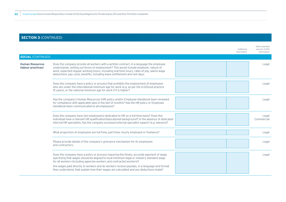|                                              |                                                                                                                                                                                                                                                                                                                                                              | Additional<br>information | Other potential<br>sources of ESG<br>information |
|----------------------------------------------|--------------------------------------------------------------------------------------------------------------------------------------------------------------------------------------------------------------------------------------------------------------------------------------------------------------------------------------------------------------|---------------------------|--------------------------------------------------|
| <b>SOCIAL (CONTINUED)</b>                    |                                                                                                                                                                                                                                                                                                                                                              |                           |                                                  |
| <b>Human Resources</b><br>(labour practices) | Does the company provide all workers with a written contract, in a language the employee<br>understands, setting out terms of employment? This would include employer, nature of<br>work, expected regular working hours, including overtime hours, rates of pay, lawful wage<br>deductions, pay cycle, benefits, including leave entitlement and rest days. |                           | Legal                                            |
|                                              | Does the company have a policy or process that prohibits the employment of employees<br>who are under the international minimum age for work (e.g. as per the ILO/Good practice<br>15 years), or the national minimum age for work if it is higher?                                                                                                          |                           | Legal                                            |
|                                              | Has the company's Human Resources (HR) policy and/or Employee Handbook been reviewed<br>for compliance with applicable laws in the last 12 months? Has the HR policy or Employee<br>Handbook been communicated to all employees?                                                                                                                             |                           | Legal                                            |
|                                              | Does the company have (an) employee(s) dedicated to HR on a full-time basis? Does this<br>individual have a relevant HR qualification/educational background? In the absence of dedicated<br>internal HR specialists, has the company accessed external specialist support (e.g. lawyers)?                                                                   |                           | Legal<br>Commercial                              |
|                                              | What proportion of employees are full-time, part-time, hourly employed or freelance?                                                                                                                                                                                                                                                                         |                           | Legal                                            |
|                                              | Please provide details of the company's grievance mechanism for its employees<br>and contractors.                                                                                                                                                                                                                                                            |                           | Legal                                            |
|                                              | Does the company have a policy or process requiring the timely, accurate payment of wage,<br>specifying that wages should be aligned to local minimum legal or industry standard wage<br>for all workers (including agencies workers and contracted workers)?                                                                                                |                           | Legal                                            |
|                                              | Are wages paid directly to workers and do workers receive payslips, in a language and format<br>they understand, that explain how their wages are calculated and any deductions made?                                                                                                                                                                        |                           |                                                  |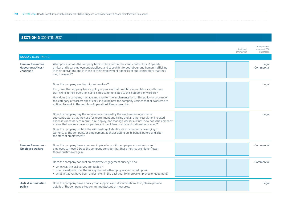|                                                           |                                                                                                                                                                                                                                                                                                                                                                     | Additional<br>information | Other potential<br>sources of ESG<br>information |
|-----------------------------------------------------------|---------------------------------------------------------------------------------------------------------------------------------------------------------------------------------------------------------------------------------------------------------------------------------------------------------------------------------------------------------------------|---------------------------|--------------------------------------------------|
| <b>SOCIAL (CONTINUED)</b>                                 |                                                                                                                                                                                                                                                                                                                                                                     |                           |                                                  |
| <b>Human Resources</b><br>(labour practices)<br>continued | What process does the company have in place so that their sub-contractors a) operate<br>ethical and legal employment practices, and b) prohibit forced labour and human trafficking<br>in their operations and in those of their employment agencies or sub-contractors that they<br>use, if relevant?                                                              |                           | Legal<br>Commercial                              |
|                                                           | Does the company employ migrant workers?                                                                                                                                                                                                                                                                                                                            |                           | Legal                                            |
|                                                           | If so, does the company have a policy or process that prohibits forced labour and human<br>trafficking in their operations and is this communicated to this category of workers?                                                                                                                                                                                    |                           |                                                  |
|                                                           | How does the company manage and monitor the implementation of this policy or process on<br>this category of workers specifically, including how the company verifies that all workers are<br>entitled to work in the country of operation? Please describe.                                                                                                         |                           |                                                  |
|                                                           | Does the company pay the service fees charged by the employment agencies or<br>sub-contractors that they use for recruitment and hiring and all other recruitment related<br>expenses necessary to recruit, hire, deploy, and manage workers? If not, how does the company<br>ensure that workers have not paid recruitment fees in excess of national legislation? |                           | Legal                                            |
|                                                           | Does the company prohibit the withholding of identification documents belonging to<br>workers, by the company, or employment agencies acting on its behalf, before and after<br>the start of employment?                                                                                                                                                            |                           |                                                  |
| <b>Human Resources -</b><br><b>Employee welfare</b>       | Does the company have a process in place to monitor employee absenteeism and<br>employee turnover? Does the company consider that these metrics are higher/lower<br>than industry averages?                                                                                                                                                                         |                           | Commercial                                       |
|                                                           | Does the company conduct an employee engagement survey? If so:                                                                                                                                                                                                                                                                                                      |                           | Commercial                                       |
|                                                           | • when was the last survey conducted?<br>• how is feedback from the survey shared with employees and acted upon?<br>• what initiatives have been undertaken in the past year to improve employee engagement?                                                                                                                                                        |                           |                                                  |
| <b>Anti-discrimination</b><br>policy                      | Does the company have a policy that supports anti-discrimination? If so, please provide<br>details of the company's key commitments/control measures.                                                                                                                                                                                                               |                           | Legal                                            |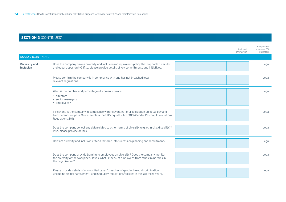|                                          |                                                                                                                                                                                                                   | Additional<br>information | Other potential<br>sources of ESG<br>information |
|------------------------------------------|-------------------------------------------------------------------------------------------------------------------------------------------------------------------------------------------------------------------|---------------------------|--------------------------------------------------|
| <b>SOCIAL (CONTINUED)</b>                |                                                                                                                                                                                                                   |                           |                                                  |
| <b>Diversity and</b><br><b>inclusion</b> | Does the company have a diversity and inclusion (or equivalent) policy that supports diversity<br>and equal opportunity? If so, please provide details of key commitments and initiatives.                        |                           | Legal                                            |
|                                          | Please confirm the company is in compliance with and has not breached local<br>relevant regulations.                                                                                                              |                           | Legal                                            |
|                                          | What is the number and percentage of women who are:<br>· directors<br>• senior managers<br>• employees?                                                                                                           |                           | Legal                                            |
|                                          | If relevant, is the company in compliance with relevant national legislation on equal pay and<br>transparency on pay? One example is the UK's Equality Act 2010 (Gender Pay Gap Information)<br>Regulations 2016. |                           | Legal                                            |
|                                          | Does the company collect any data related to other forms of diversity (e.g. ethnicity, disability)?<br>If so, please provide details.                                                                             |                           | Legal                                            |
|                                          | How are diversity and inclusion criteria factored into succession planning and recruitment?                                                                                                                       |                           | Legal                                            |
|                                          | Does the company provide training to employees on diversity? Does the company monitor<br>the diversity of the workplace? If yes, what is the % of employees from ethnic minorities in<br>the organisation?        |                           | Legal                                            |
|                                          | Please provide details of any notified cases/breaches of gender-based discrimination<br>(including sexual harassment) and inequality regulations/policies in the last three years.                                |                           | Legal                                            |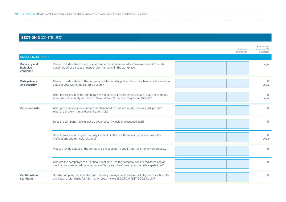|                                                |                                                                                                                                                                                      | Additional<br>information | Other potential<br>sources of ESG<br>information |
|------------------------------------------------|--------------------------------------------------------------------------------------------------------------------------------------------------------------------------------------|---------------------------|--------------------------------------------------|
| <b>SOCIAL (CONTINUED)</b>                      |                                                                                                                                                                                      |                           |                                                  |
| <b>Diversity and</b><br>inclusion<br>continued | Please provide details of any specific initiatives implemented to raise awareness/promote<br>equality/address issues of gender discrimination in the workplace.                      |                           | Legal                                            |
| Data privacy<br>and security                   | Please provide details of the company's data security policy. Have there been any breaches in<br>data security within the last three years?                                          |                           | T <br>Legal                                      |
|                                                | What processes does the company have in place to protect sensitive data? Has the company<br>taken steps to comply with the EU General Data Protection Regulation (GDPR)?             |                           | $\mathsf{I}$<br>Legal                            |
| <b>Cyber security</b>                          | What processes has the company implemented to assess its cyber security risk profile?<br>What are the key risks and existing controls?                                               |                           | <b>IT</b>                                        |
|                                                | Does the company have in place a cyber security incident response plan?                                                                                                              |                           | IT                                               |
|                                                | Have there been any cyber security incidents in the last three years and what were the<br>implications and remedial actions?                                                         |                           | <b>IT</b><br>Legal                               |
|                                                | Please provide details of the company's cyber security audit (internal or external) process.                                                                                         |                           | T                                                |
|                                                | Who are the company's top 5 critical suppliers? Has the company considered assessing or<br>has it already assessed the adequacy of those suppliers' own cyber security capabilities? |                           | T                                                |
| Certification/<br>standards                    | Has the company implemented an IT security management system? Is it aligned, or certified to<br>any external standards for information security (e.g. ISO 27001, NIST, SOC2, Cobit)? |                           | T                                                |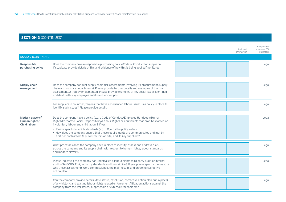|                                                         |                                                                                                                                                                                                                                                                                                                                           | Additional<br>information | Other potential<br>sources of ESG<br>information |
|---------------------------------------------------------|-------------------------------------------------------------------------------------------------------------------------------------------------------------------------------------------------------------------------------------------------------------------------------------------------------------------------------------------|---------------------------|--------------------------------------------------|
| <b>SOCIAL (CONTINUED)</b>                               |                                                                                                                                                                                                                                                                                                                                           |                           |                                                  |
| <b>Responsible</b><br>purchasing policy                 | Does the company have a responsible purchasing policy/Code of Conduct for suppliers?<br>If so, please provide details of this and evidence of how this is being applied/monitored.                                                                                                                                                        |                           | Legal                                            |
| <b>Supply chain</b><br>management                       | Does the company conduct supply chain risk assessments involving its procurement, supply<br>chain and logistics departments? Please provide further details and examples of the risk<br>assessments/strategy implemented. Please provide examples of key social issues identified<br>and dealt with, e.g. employee safety and worker pay. |                           | Legal                                            |
|                                                         | For suppliers in countries/regions that have experienced labour issues, is a policy in place to<br>identify such issues? Please provide details.                                                                                                                                                                                          |                           | Legal                                            |
| Modern slavery/<br>Human rights/<br><b>Child labour</b> | Does the company have a policy (e.g. a Code of Conduct/Employee Handbook/Human<br>Rights/Corporate Social Responsibility/Labour Rights or equivalent) that prohibits forced or<br>involuntary labour and child labour? If yes:                                                                                                            |                           | Legal                                            |
|                                                         | • Please specify to which standards (e.g. ILO, etc.) the policy refers.<br>• How does the company ensure that these requirements are communicated and met by<br>first-tier contractors (e.g. contractors on site) and its key suppliers?                                                                                                  |                           |                                                  |
|                                                         | What processes does the company have in place to identify, assess and address risks<br>across the company and its supply chain with respect to human rights, labour standards<br>and modern slavery?                                                                                                                                      |                           | Legal                                            |
|                                                         | Please indicate if the company has undertaken a labour rights third party audit or internal<br>audits (SA 8000, FLA, Industry standards audits or similar). If yes, please specify the reasons<br>why those assessments were commissioned, the main results and on-going corrective<br>action plan.                                       |                           | Legal                                            |
|                                                         | Can the company provide details (date status, resolution, corrective action plan put in place)<br>of any historic and existing labour rights related enforcement/litigation actions against the<br>company from the workforce, supply chain or external stakeholders?                                                                     |                           | Legal                                            |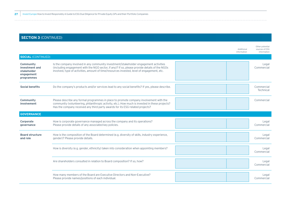|                                                                        |                                                                                                                                                                                                                                                                                      | Additional<br>information | Other potential<br>sources of ESG<br>information |
|------------------------------------------------------------------------|--------------------------------------------------------------------------------------------------------------------------------------------------------------------------------------------------------------------------------------------------------------------------------------|---------------------------|--------------------------------------------------|
| <b>SOCIAL (CONTINUED)</b>                                              |                                                                                                                                                                                                                                                                                      |                           |                                                  |
| Community<br>investment and<br>stakeholder<br>engagement<br>programmes | Is the company involved in any community investment/stakeholder engagement activities<br>(including engagement with the NGO sector, if any)? If so, please provide details of the NGOs<br>involved, type of activities, amount of time/resources invested, level of engagement, etc. |                           | Legal<br>Commercial                              |
| <b>Social benefits</b>                                                 | Do the company's products and/or services lead to any social benefits? If yes, please describe.                                                                                                                                                                                      |                           | Commercial<br>Technical                          |
| Community<br>involvement                                               | Please describe any formal programmes in place to promote company involvement with the<br>community (volunteering, philanthropic activity, etc.). How much is invested in these projects?<br>Has the company received any third party awards for its ESG-related projects?           |                           | Commercial                                       |
| <b>GOVERNANCE</b>                                                      |                                                                                                                                                                                                                                                                                      |                           |                                                  |
| Corporate<br>qovernance                                                | How is corporate governance managed across the company and its operations?<br>Please provide details of any associated key policies.                                                                                                                                                 |                           | Legal<br>Commercial                              |
| <b>Board structure</b><br>and role                                     | How is the composition of the Board determined (e.g. diversity of skills, industry experience,<br>gender)? Please provide details.                                                                                                                                                   |                           | Legal<br>Commercial                              |
|                                                                        | How is diversity (e.g. gender, ethnicity) taken into consideration when appointing members?                                                                                                                                                                                          |                           | Legal<br>Commercial                              |
|                                                                        | Are shareholders consulted in relation to Board composition? If so, how?                                                                                                                                                                                                             |                           | Legal<br>Commercial                              |
|                                                                        | How many members of the Board are Executive Directors and Non-Executive?<br>Please provide names/positions of each individual.                                                                                                                                                       |                           | Legal<br>Commercial                              |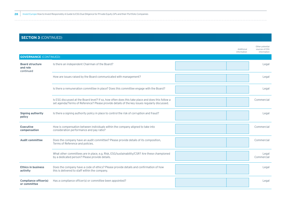|                                                 |                                                                                                                                                                                                   | Additional<br>information | Other potential<br>sources of ESG<br>information |
|-------------------------------------------------|---------------------------------------------------------------------------------------------------------------------------------------------------------------------------------------------------|---------------------------|--------------------------------------------------|
| <b>GOVERNANCE (CONTINUED)</b>                   |                                                                                                                                                                                                   |                           |                                                  |
| <b>Board structure</b><br>and role<br>continued | Is there an independent Chairman of the Board?                                                                                                                                                    |                           | Legal                                            |
|                                                 | How are issues raised by the Board communicated with management?                                                                                                                                  |                           | Legal                                            |
|                                                 | Is there a remuneration committee in place? Does this committee engage with the Board?                                                                                                            |                           | Legal                                            |
|                                                 | Is ESG discussed at the Board level? If so, how often does this take place and does this follow a<br>set agenda/Terms of Reference? Please provide details of the key issues regularly discussed. |                           | Commercial                                       |
| <b>Signing authority</b><br>policy              | Is there a signing authority policy in place to control the risk of corruption and fraud?                                                                                                         |                           | Legal                                            |
| <b>Executive</b><br>compensation                | How is compensation between individuals within the company aligned to take into<br>consideration performance and pay ratio?                                                                       |                           | Commercial                                       |
| <b>Audit committee</b>                          | Does the company have an audit committee? Please provide details of its composition,<br>Terms of Reference and policies.                                                                          |                           | Commercial                                       |
|                                                 | What other committees are in place, e.g. Risk, ESG/sustainability/CSR? Are these championed<br>by a dedicated person? Please provide details.                                                     |                           | Legal<br>Commercial                              |
| <b>Ethics in business</b><br>activity           | Does the company have a code of ethics? Please provide details and confirmation of how<br>this is delivered to staff within the company.                                                          |                           | Legal                                            |
| <b>Compliance officer(s)</b><br>or committee    | Has a compliance officer(s) or committee been appointed?                                                                                                                                          |                           | Legal                                            |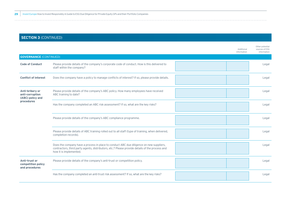|                                                        |                                                                                                                                                                                                                     | Additional<br>information | Other potential<br>sources of ESG<br>information |
|--------------------------------------------------------|---------------------------------------------------------------------------------------------------------------------------------------------------------------------------------------------------------------------|---------------------------|--------------------------------------------------|
| <b>GOVERNANCE (CONTINUED)</b>                          |                                                                                                                                                                                                                     |                           |                                                  |
| <b>Code of Conduct</b>                                 | Please provide details of the company's corporate code of conduct. How is this delivered to<br>staff within the company?                                                                                            |                           | Legal                                            |
| <b>Conflict of interest</b>                            | Does the company have a policy to manage conflicts of interest? If so, please provide details.                                                                                                                      |                           | Legal                                            |
| Anti-bribery or<br>anti-corruption<br>(ABC) policy and | Please provide details of the company's ABC policy. How many employees have received<br>ABC training to date?                                                                                                       |                           | Legal                                            |
| procedures                                             | Has the company completed an ABC risk assessment? If so, what are the key risks?                                                                                                                                    |                           | Legal                                            |
|                                                        | Please provide details of the company's ABC compliance programme.                                                                                                                                                   |                           | Legal                                            |
|                                                        | Please provide details of ABC training rolled out to all staff (type of training, when delivered,<br>completion records).                                                                                           |                           | Legal                                            |
|                                                        | Does the company have a process in place to conduct ABC due diligence on new suppliers,<br>contractors, third party agents, distributors, etc.? Please provide details of the process and<br>how it is implemented. |                           | Legal                                            |
| Anti-trust or<br>competition policy<br>and procedures  | Please provide details of the company's anti-trust or competition policy.                                                                                                                                           |                           | Legal                                            |
|                                                        | Has the company completed an anti-trust risk assessment? If so, what are the key risks?                                                                                                                             |                           | Legal                                            |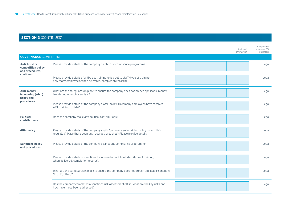|                                                       |                                                                                                                                                                       | Additional<br>information | Other potential<br>sources of ESG<br>information |
|-------------------------------------------------------|-----------------------------------------------------------------------------------------------------------------------------------------------------------------------|---------------------------|--------------------------------------------------|
| <b>GOVERNANCE (CONTINUED)</b>                         |                                                                                                                                                                       |                           |                                                  |
| Anti-trust or<br>competition policy<br>and procedures | Please provide details of the company's anti-trust compliance programme.                                                                                              |                           | Legal                                            |
| continued                                             | Please provide details of anti-trust training rolled out to staff (type of training,<br>how many employees, when delivered, completion records).                      |                           | Legal                                            |
| Anti-money<br>laundering (AML)<br>policy and          | What are the safeguards in place to ensure the company does not breach applicable money<br>laundering or equivalent law?                                              |                           | Legal                                            |
| procedures                                            | Please provide details of the company's AML policy. How many employees have received<br>AML training to date?                                                         |                           | Legal                                            |
| <b>Political</b><br><b>contributions</b>              | Does the company make any political contributions?                                                                                                                    |                           | Legal                                            |
| <b>Gifts policy</b>                                   | Please provide details of the company's gifts/corporate entertaining policy. How is this<br>regulated? Have there been any recorded breaches? Please provide details. |                           | Legal                                            |
| <b>Sanctions policy</b><br>and procedures             | Please provide details of the company's sanctions compliance programme.                                                                                               |                           | Legal                                            |
|                                                       | Please provide details of sanctions training rolled out to all staff (type of training,<br>when delivered, completion records).                                       |                           | Legal                                            |
|                                                       | What are the safeguards in place to ensure the company does not breach applicable sanctions<br>(EU, US, other)?                                                       |                           | Legal                                            |
|                                                       | Has the company completed a sanctions risk assessment? If so, what are the key risks and<br>how have these been addressed?                                            |                           | Legal                                            |